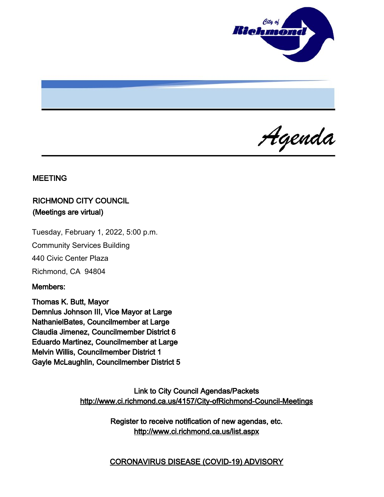

Agenda

#### MEETING

# RICHMOND CITY COUNCIL (Meetings are virtual)

Tuesday, February 1, 2022, 5:00 p.m.

Community Services Building

440 Civic Center Plaza

Richmond, CA 94804

#### Members:

Thomas K. Butt, Mayor Demnlus Johnson III, Vice Mayor at Large NathanielBates, Councilmember at Large Claudia Jimenez, Councilmember District 6 Eduardo Martinez, Councilmember at Large Melvin Willis, Councilmember District 1 Gayle McLaughlin, Councilmember District 5

> Link to City Council Agendas/Packets <http://www.ci.richmond.ca.us/4157/City-ofRichmond-Council-Meetings>

> > Register to receive notification of new agendas, etc. <http://www.ci.richmond.ca.us/list.aspx>

> > CORONAVIRUS DISEASE (COVID-19) ADVISORY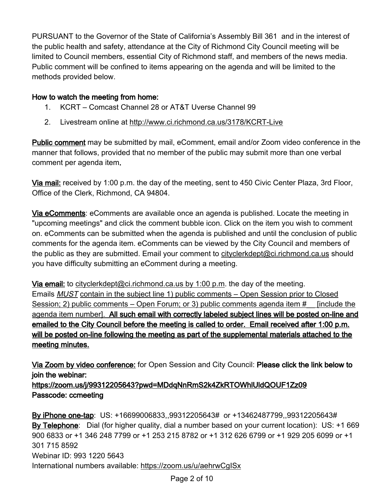PURSUANT to the Governor of the State of California's Assembly Bill 361 and in the interest of the public health and safety, attendance at the City of Richmond City Council meeting will be limited to Council members, essential City of Richmond staff, and members of the news media. Public comment will be confined to items appearing on the agenda and will be limited to the methods provided below.

## How to watch the meeting from home:

- 1. KCRT Comcast Channel 28 or AT&T Uverse Channel 99
- 2. Livestream online at <http://www.ci.richmond.ca.us/3178/KCRT-Live>

Public comment may be submitted by mail, eComment, email and/or Zoom video conference in the manner that follows, provided that no member of the public may submit more than one verbal comment per agenda item.

Via mail: received by 1:00 p.m. the day of the meeting, sent to 450 Civic Center Plaza, 3rd Floor, Office of the Clerk, Richmond, CA 94804.

Via eComments: eComments are available once an agenda is published. Locate the meeting in "upcoming meetings" and click the comment bubble icon. Click on the item you wish to comment on. eComments can be submitted when the agenda is published and until the conclusion of public comments for the agenda item. eComments can be viewed by the City Council and members of the public as they are submitted. Email your comment to [cityclerkdept@ci.richmond.ca.us](mailto:cityclerkdept@ci.richmond.ca.us) should you have difficulty submitting an eComment during a meeting.

Via email: to [cityclerkdept@ci.richmond.ca.us](mailto:cityclerkdept@ci.richmond.ca.us) by 1:00 p.m. the day of the meeting. Emails MUST contain in the subject line 1) public comments – Open Session prior to Closed Session; 2) public comments – Open Forum; or 3) public comments agenda item # [include the agenda item number]. All such email with correctly labeled subject lines will be posted on-line and emailed to the City Council before the meeting is called to order. Email received after 1:00 p.m. will be posted on-line following the meeting as part of the supplemental materials attached to the meeting minutes.

Via Zoom by video conference: for Open Session and City Council: Please click the link below to join the webinar:

https://zoom.us/j/99312205643?pwd=MDdqNnRmS2k4ZkRTOWhlUldQOUF1Zz09 Passcode: ccmeeting

By iPhone one-tap: US: +16699006833,,99312205643# or +13462487799,,99312205643# By Telephone: Dial (for higher quality, dial a number based on your current location): US: +1 669 900 6833 or +1 346 248 7799 or +1 253 215 8782 or +1 312 626 6799 or +1 929 205 6099 or +1 301 715 8592 Webinar ID: 993 1220 5643 International numbers available: <https://zoom.us/u/aehrwCgISx>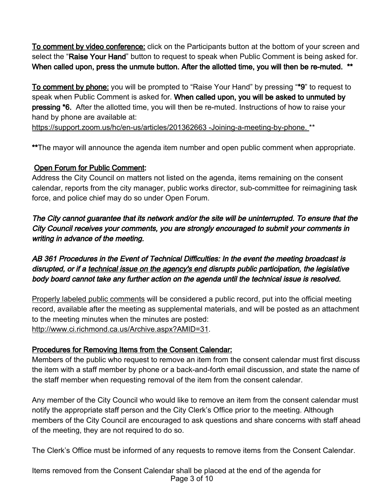To comment by video conference: click on the Participants button at the bottom of your screen and select the "Raise Your Hand" button to request to speak when Public Comment is being asked for. When called upon, press the unmute button. After the allotted time, you will then be re-muted. \*\*

To comment by phone: you will be prompted to "Raise Your Hand" by pressing "\*9" to request to speak when Public Comment is asked for. When called upon, you will be asked to unmuted by pressing \*6. After the allotted time, you will then be re-muted. Instructions of how to raise your hand by phone are available at:

[https://support.zoom.us/hc/en-us/articles/201362663 -Joining-a-meeting-by-phone.](https://support.zoom.us/hc/en-us/articles/201362663%20-Joining-a-meeting-by-phone.) \*\*

\*\*The mayor will announce the agenda item number and open public comment when appropriate.

# Open Forum for Public Comment:

Address the City Council on matters not listed on the agenda, items remaining on the consent calendar, reports from the city manager, public works director, sub-committee for reimagining task force, and police chief may do so under Open Forum.

The City cannot guarantee that its network and/or the site will be uninterrupted. To ensure that the City Council receives your comments, you are strongly encouraged to submit your comments in writing in advance of the meeting.

AB 361 Procedures in the Event of Technical Difficulties: In the event the meeting broadcast is disrupted, or if a technical issue on the agency's end disrupts public participation, the legislative body board cannot take any further action on the agenda until the technical issue is resolved.

Properly labeled public comments will be considered a public record, put into the official meeting record, available after the meeting as supplemental materials, and will be posted as an attachment to the meeting minutes when the minutes are posted: [http://www.ci.richmond.ca.us/Archive.aspx?AMID=31.](http://www.ci.richmond.ca.us/Archive.aspx?AMID=31)

# Procedures for Removing Items from the Consent Calendar:

Members of the public who request to remove an item from the consent calendar must first discuss the item with a staff member by phone or a back-and-forth email discussion, and state the name of the staff member when requesting removal of the item from the consent calendar.

Any member of the City Council who would like to remove an item from the consent calendar must notify the appropriate staff person and the City Clerk's Office prior to the meeting. Although members of the City Council are encouraged to ask questions and share concerns with staff ahead of the meeting, they are not required to do so.

The Clerk's Office must be informed of any requests to remove items from the Consent Calendar.

Items removed from the Consent Calendar shall be placed at the end of the agenda for Page 3 of 10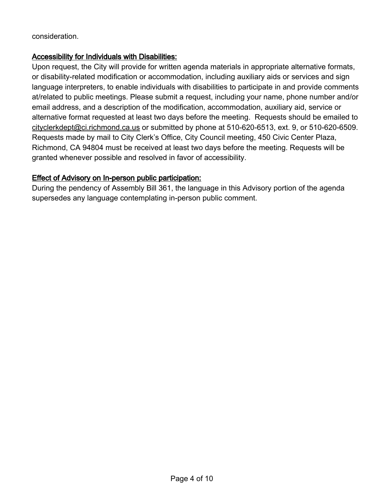consideration.

#### Accessibility for Individuals with Disabilities:

Upon request, the City will provide for written agenda materials in appropriate alternative formats, or disability-related modification or accommodation, including auxiliary aids or services and sign language interpreters, to enable individuals with disabilities to participate in and provide comments at/related to public meetings. Please submit a request, including your name, phone number and/or email address, and a description of the modification, accommodation, auxiliary aid, service or alternative format requested at least two days before the meeting. Requests should be emailed to [cityclerkdept@ci.richmond.ca.us](mailto:cityclerkdept@ci.richmond.ca.us) or submitted by phone at 510-620-6513, ext. 9, or 510-620-6509. Requests made by mail to City Clerk's Office, City Council meeting, 450 Civic Center Plaza, Richmond, CA 94804 must be received at least two days before the meeting. Requests will be granted whenever possible and resolved in favor of accessibility.

## Effect of Advisory on In-person public participation:

During the pendency of Assembly Bill 361, the language in this Advisory portion of the agenda supersedes any language contemplating in-person public comment.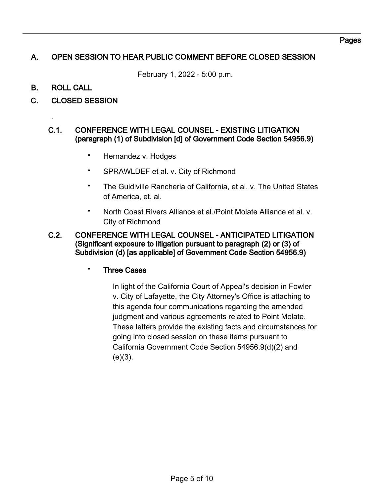# A. OPEN SESSION TO HEAR PUBLIC COMMENT BEFORE CLOSED SESSION

February 1, 2022 - 5:00 p.m.

B. ROLL CALL

.

C. CLOSED SESSION

#### C.1. CONFERENCE WITH LEGAL COUNSEL - EXISTING LITIGATION (paragraph (1) of Subdivision [d] of Government Code Section 54956.9)

- Hernandez v. Hodges
- SPRAWLDEF et al. v. City of Richmond
- The Guidiville Rancheria of California, et al. v. The United States of America, et. al.
- North Coast Rivers Alliance et al./Point Molate Alliance et al. v. City of Richmond

#### C.2. CONFERENCE WITH LEGAL COUNSEL - ANTICIPATED LITIGATION (Significant exposure to litigation pursuant to paragraph (2) or (3) of Subdivision (d) [as applicable] of Government Code Section 54956.9)

## **Three Cases**

In light of the California Court of Appeal's decision in Fowler v. City of Lafayette, the City Attorney's Office is attaching to this agenda four communications regarding the amended judgment and various agreements related to Point Molate. These letters provide the existing facts and circumstances for going into closed session on these items pursuant to California Government Code Section 54956.9(d)(2) and  $(e)(3)$ .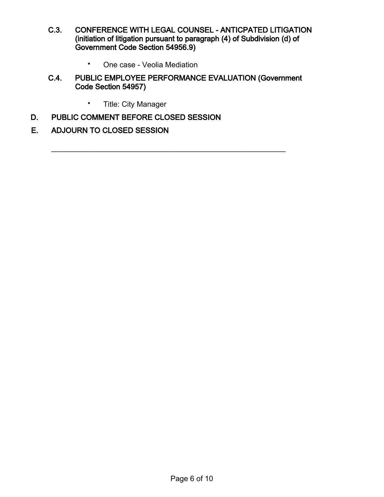- C.3. CONFERENCE WITH LEGAL COUNSEL ANTICPATED LITIGATION (initiation of litigation pursuant to paragraph (4) of Subdivision (d) of Government Code Section 54956.9)
	- One case Veolia Mediation

## C.4. PUBLIC EMPLOYEE PERFORMANCE EVALUATION (Government Code Section 54957)

 $\mathcal{L}_\text{max}$  , and the contract of the contract of the contract of the contract of the contract of the contract of the contract of the contract of the contract of the contract of the contract of the contract of the contr

- Title: City Manager
- D. PUBLIC COMMENT BEFORE CLOSED SESSION

## E. ADJOURN TO CLOSED SESSION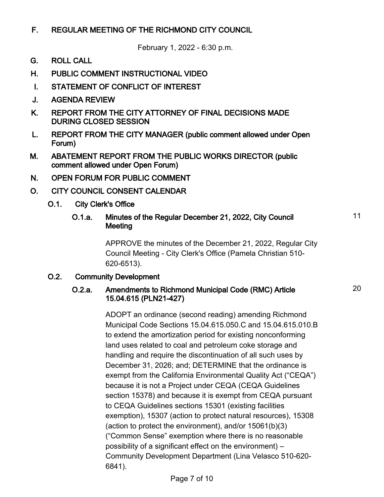# F. REGULAR MEETING OF THE RICHMOND CITY COUNCIL

February 1, 2022 - 6:30 p.m.

- G. ROLL CALL
- H. PUBLIC COMMENT INSTRUCTIONAL VIDEO
- I. STATEMENT OF CONFLICT OF INTEREST
- J. AGENDA REVIEW
- K. REPORT FROM THE CITY ATTORNEY OF FINAL DECISIONS MADE DURING CLOSED SESSION
- L. REPORT FROM THE CITY MANAGER (public comment allowed under Open Forum)
- M. ABATEMENT REPORT FROM THE PUBLIC WORKS DIRECTOR (public comment allowed under Open Forum)
- N. OPEN FORUM FOR PUBLIC COMMENT
- O. CITY COUNCIL CONSENT CALENDAR
	- O.1. City Clerk's Office

#### O.1.a. Minutes of the Regular December 21, 2022, City Council **Meeting**

APPROVE the minutes of the December 21, 2022, Regular City Council Meeting - City Clerk's Office (Pamela Christian 510- 620-6513).

## O.2. Community Development

#### O.2.a. Amendments to Richmond Municipal Code (RMC) Article 15.04.615 (PLN21-427)

ADOPT an ordinance (second reading) amending Richmond Municipal Code Sections 15.04.615.050.C and 15.04.615.010.B to extend the amortization period for existing nonconforming land uses related to coal and petroleum coke storage and handling and require the discontinuation of all such uses by December 31, 2026; and; DETERMINE that the ordinance is exempt from the California Environmental Quality Act ("CEQA") because it is not a Project under CEQA (CEQA Guidelines section 15378) and because it is exempt from CEQA pursuant to CEQA Guidelines sections 15301 (existing facilities exemption), 15307 (action to protect natural resources), 15308 (action to protect the environment), and/or 15061(b)(3) ("Common Sense" exemption where there is no reasonable possibility of a significant effect on the environment) – Community Development Department (Lina Velasco 510-620- 6841).

11

20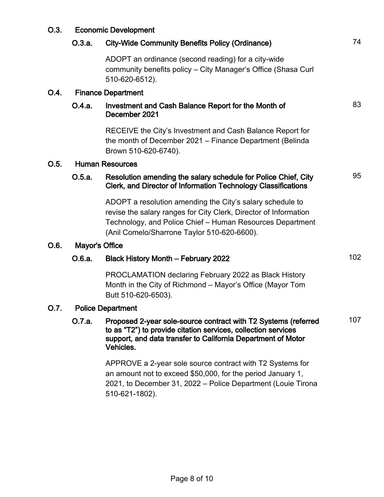| O.3. | <b>Economic Development</b> |                                                                                                                                                                                                                                           |     |
|------|-----------------------------|-------------------------------------------------------------------------------------------------------------------------------------------------------------------------------------------------------------------------------------------|-----|
|      | O.3.a.                      | <b>City-Wide Community Benefits Policy (Ordinance)</b>                                                                                                                                                                                    | 74  |
|      |                             | ADOPT an ordinance (second reading) for a city-wide<br>community benefits policy – City Manager's Office (Shasa Curl<br>510-620-6512).                                                                                                    |     |
| O.4. | <b>Finance Department</b>   |                                                                                                                                                                                                                                           |     |
|      | O.4.a.                      | Investment and Cash Balance Report for the Month of<br>December 2021                                                                                                                                                                      | 83  |
|      |                             | RECEIVE the City's Investment and Cash Balance Report for<br>the month of December 2021 – Finance Department (Belinda<br>Brown 510-620-6740).                                                                                             |     |
| O.5. | <b>Human Resources</b>      |                                                                                                                                                                                                                                           |     |
|      | O.5.a.                      | Resolution amending the salary schedule for Police Chief, City<br>Clerk, and Director of Information Technology Classifications                                                                                                           | 95  |
|      |                             | ADOPT a resolution amending the City's salary schedule to<br>revise the salary ranges for City Clerk, Director of Information<br>Technology, and Police Chief - Human Resources Department<br>(Anil Comelo/Sharrone Taylor 510-620-6600). |     |
| O.6. | Mayor's Office              |                                                                                                                                                                                                                                           |     |
|      | O.6.a.                      | <b>Black History Month - February 2022</b>                                                                                                                                                                                                | 102 |
|      |                             | PROCLAMATION declaring February 2022 as Black History<br>Month in the City of Richmond - Mayor's Office (Mayor Tom<br>Butt 510-620-6503).                                                                                                 |     |
| O.7. | <b>Police Department</b>    |                                                                                                                                                                                                                                           |     |
|      | 0.7.a.                      | Proposed 2-year sole-source contract with T2 Systems (referred<br>to as "T2") to provide citation services, collection services<br>support, and data transfer to California Department of Motor<br>Vehicles.                              | 107 |
|      |                             | APPROVE a 2-year sole source contract with T2 Systems for<br>an amount not to exceed \$50,000, for the period January 1,<br>2021, to December 31, 2022 - Police Department (Louie Tirona                                                  |     |

510-621-1802).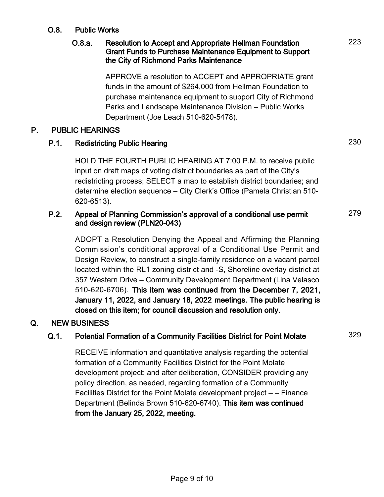## O.8. Public Works

## O.8.a. Resolution to Accept and Appropriate Hellman Foundation Grant Funds to Purchase Maintenance Equipment to Support the City of Richmond Parks Maintenance

APPROVE a resolution to ACCEPT and APPROPRIATE grant funds in the amount of \$264,000 from Hellman Foundation to purchase maintenance equipment to support City of Richmond Parks and Landscape Maintenance Division – Public Works Department (Joe Leach 510-620-5478).

## P. PUBLIC HEARINGS

# P.1. Redistricting Public Hearing 230

HOLD THE FOURTH PUBLIC HEARING AT 7:00 P.M. to receive public input on draft maps of voting district boundaries as part of the City's redistricting process; SELECT a map to establish district boundaries; and determine election sequence – City Clerk's Office (Pamela Christian 510- 620-6513).

#### P.2. Appeal of Planning Commission's approval of a conditional use permit and design review (PLN20-043) 279

ADOPT a Resolution Denying the Appeal and Affirming the Planning Commission's conditional approval of a Conditional Use Permit and Design Review, to construct a single-family residence on a vacant parcel located within the RL1 zoning district and -S, Shoreline overlay district at 357 Western Drive – Community Development Department (Lina Velasco 510-620-6706). This item was continued from the December 7, 2021, January 11, 2022, and January 18, 2022 meetings. The public hearing is closed on this item; for council discussion and resolution only.

## Q. NEW BUSINESS

# Q.1. Potential Formation of a Community Facilities District for Point Molate 329

RECEIVE information and quantitative analysis regarding the potential formation of a Community Facilities District for the Point Molate development project; and after deliberation, CONSIDER providing any policy direction, as needed, regarding formation of a Community Facilities District for the Point Molate development project – – Finance Department (Belinda Brown 510-620-6740). This item was continued from the January 25, 2022, meeting.

223